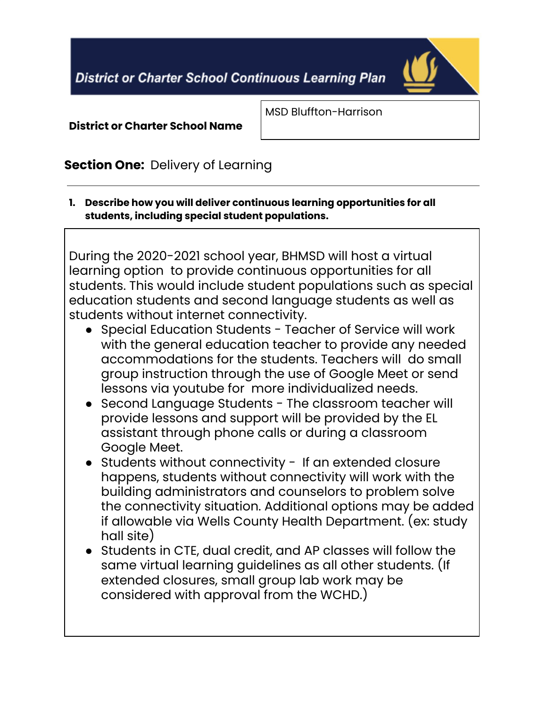**District or Charter School Continuous Learning Plan** 



#### **District or Charter School Name**

MSD Bluffton-Harrison

## **Section One:** Delivery of Learning

**1. Describe how you will deliver continuous learning opportunities for all students, including special student populations.**

During the 2020-2021 school year, BHMSD will host a virtual learning option to provide continuous opportunities for all students. This would include student populations such as special education students and second language students as well as students without internet connectivity.

- Special Education Students Teacher of Service will work with the general education teacher to provide any needed accommodations for the students. Teachers will do small group instruction through the use of Google Meet or send lessons via youtube for more individualized needs.
- Second Language Students The classroom teacher will provide lessons and support will be provided by the EL assistant through phone calls or during a classroom Google Meet.
- Students without connectivity If an extended closure happens, students without connectivity will work with the building administrators and counselors to problem solve the connectivity situation. Additional options may be added if allowable via Wells County Health Department. (ex: study hall site)
- Students in CTE, dual credit, and AP classes will follow the same virtual learning guidelines as all other students. (If extended closures, small group lab work may be considered with approval from the WCHD.)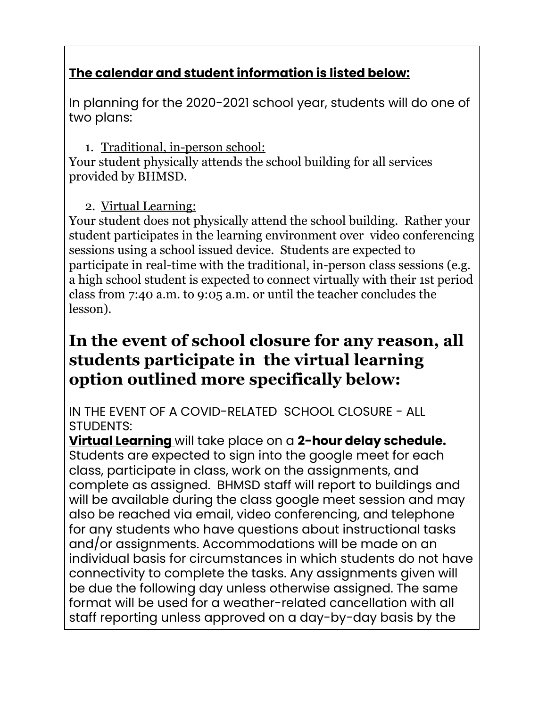## **The calendar and student information is listed below:**

In planning for the 2020-2021 school year, students will do one of two plans:

## 1. Traditional, in-person school:

Your student physically attends the school building for all services provided by BHMSD.

## 2. Virtual Learning:

Your student does not physically attend the school building. Rather your student participates in the learning environment over video conferencing sessions using a school issued device. Students are expected to participate in real-time with the traditional, in-person class sessions (e.g. a high school student is expected to connect virtually with their 1st period class from 7:40 a.m. to 9:05 a.m. or until the teacher concludes the lesson).

# **In the event of school closure for any reason, all students participate in the virtual learning option outlined more specifically below:**

IN THE EVENT OF A COVID-RELATED SCHOOL CLOSURE - ALL STUDENTS:

**Virtual Learning** will take place on a **2-hour delay schedule.** Students are expected to sign into the google meet for each class, participate in class, work on the assignments, and complete as assigned. BHMSD staff will report to buildings and will be available during the class google meet session and may also be reached via email, video conferencing, and telephone for any students who have questions about instructional tasks and/or assignments. Accommodations will be made on an individual basis for circumstances in which students do not have connectivity to complete the tasks. Any assignments given will be due the following day unless otherwise assigned. The same format will be used for a weather-related cancellation with all staff reporting unless approved on a day-by-day basis by the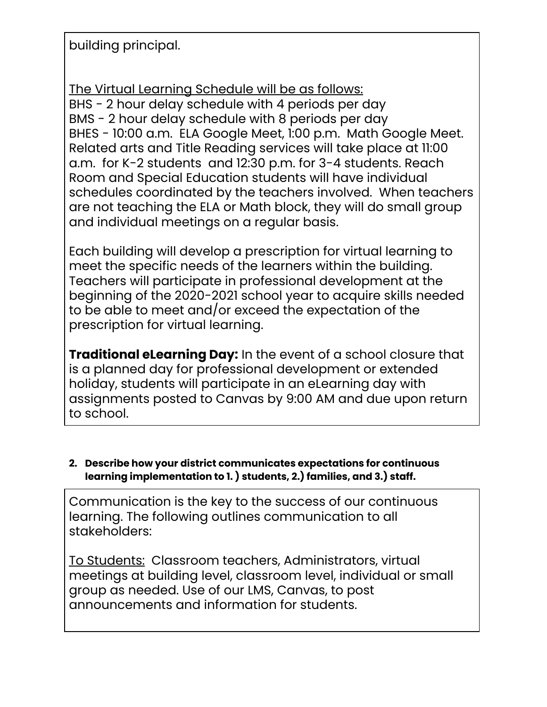building principal.

The Virtual Learning Schedule will be as follows: BHS - 2 hour delay schedule with 4 periods per day BMS - 2 hour delay schedule with 8 periods per day BHES - 10:00 a.m. ELA Google Meet, 1:00 p.m. Math Google Meet. Related arts and Title Reading services will take place at 11:00 a.m. for K-2 students and 12:30 p.m. for 3-4 students. Reach Room and Special Education students will have individual schedules coordinated by the teachers involved. When teachers are not teaching the ELA or Math block, they will do small group and individual meetings on a regular basis.

Each building will develop a prescription for virtual learning to meet the specific needs of the learners within the building. Teachers will participate in professional development at the beginning of the 2020-2021 school year to acquire skills needed to be able to meet and/or exceed the expectation of the prescription for virtual learning.

**Traditional eLearning Day:** In the event of a school closure that is a planned day for professional development or extended holiday, students will participate in an eLearning day with assignments posted to Canvas by 9:00 AM and due upon return to school.

#### **2. Describe how your district communicates expectations for continuous learning implementation to 1. ) students, 2.) families, and 3.) staff.**

Communication is the key to the success of our continuous learning. The following outlines communication to all stakeholders:

To Students: Classroom teachers, Administrators, virtual meetings at building level, classroom level, individual or small group as needed. Use of our LMS, Canvas, to post announcements and information for students.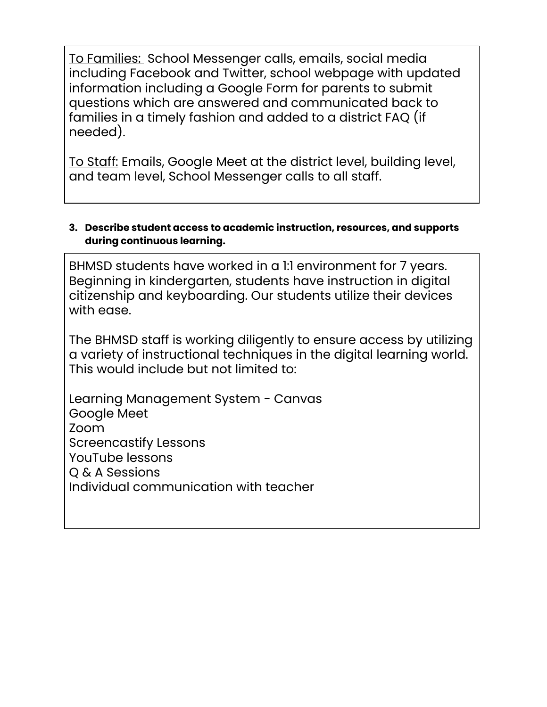To Families: School Messenger calls, emails, social media including Facebook and Twitter, school webpage with updated information including a Google Form for parents to submit questions which are answered and communicated back to families in a timely fashion and added to a district FAQ (if needed).

To Staff: Emails, Google Meet at the district level, building level, and team level, School Messenger calls to all staff.

#### **3. Describe student access to academic instruction, resources, and supports during continuous learning.**

BHMSD students have worked in a 1:1 environment for 7 years. Beginning in kindergarten, students have instruction in digital citizenship and keyboarding. Our students utilize their devices with ease.

The BHMSD staff is working diligently to ensure access by utilizing a variety of instructional techniques in the digital learning world. This would include but not limited to:

Learning Management System - Canvas Google Meet Zoom Screencastify Lessons YouTube lessons Q & A Sessions Individual communication with teacher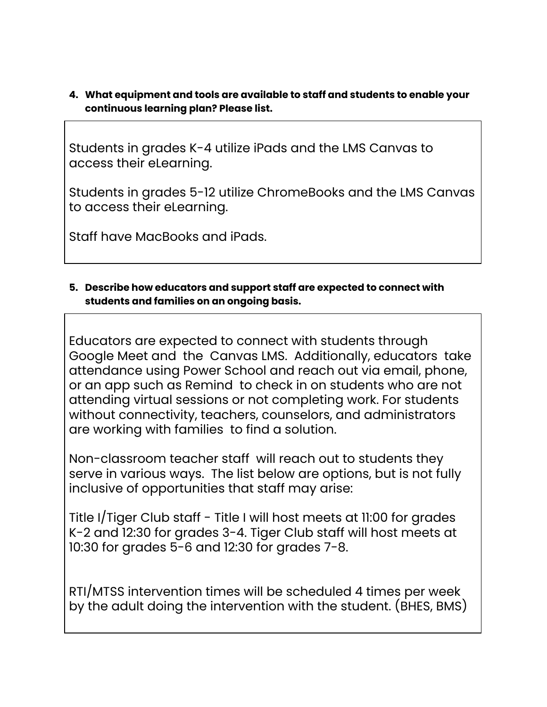**4. What equipment and tools are available to staff and students to enable your continuous learning plan? Please list.**

Students in grades K-4 utilize iPads and the LMS Canvas to access their eLearning.

Students in grades 5-12 utilize ChromeBooks and the LMS Canvas to access their eLearning.

Staff have MacBooks and iPads.

#### **5. Describe how educators and support staff are expected to connect with students and families on an ongoing basis.**

Educators are expected to connect with students through Google Meet and the Canvas LMS. Additionally, educators take attendance using Power School and reach out via email, phone, or an app such as Remind to check in on students who are not attending virtual sessions or not completing work. For students without connectivity, teachers, counselors, and administrators are working with families to find a solution.

Non-classroom teacher staff will reach out to students they serve in various ways. The list below are options, but is not fully inclusive of opportunities that staff may arise:

Title I/Tiger Club staff - Title I will host meets at 11:00 for grades K-2 and 12:30 for grades 3-4. Tiger Club staff will host meets at 10:30 for grades 5-6 and 12:30 for grades 7-8.

RTI/MTSS intervention times will be scheduled 4 times per week by the adult doing the intervention with the student. (BHES, BMS)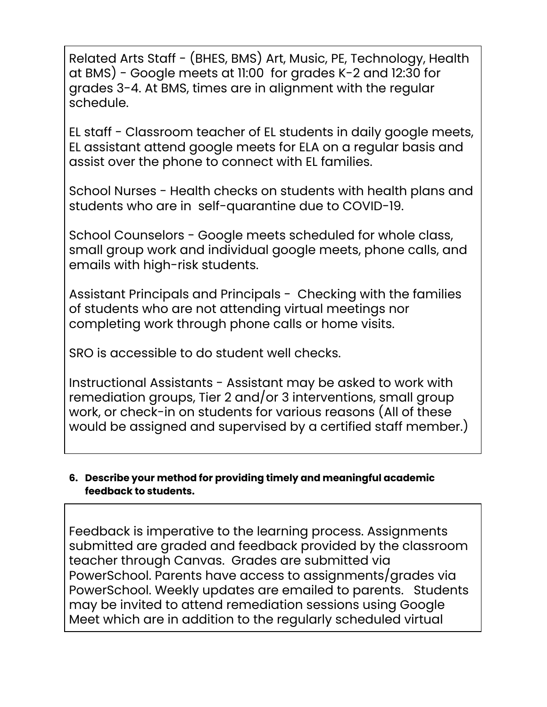Related Arts Staff - (BHES, BMS) Art, Music, PE, Technology, Health at BMS) - Google meets at 11:00 for grades K-2 and 12:30 for grades 3-4. At BMS, times are in alignment with the regular schedule.

EL staff - Classroom teacher of EL students in daily google meets, EL assistant attend google meets for ELA on a regular basis and assist over the phone to connect with EL families.

School Nurses - Health checks on students with health plans and students who are in self-quarantine due to COVID-19.

School Counselors - Google meets scheduled for whole class, small group work and individual google meets, phone calls, and emails with high-risk students.

Assistant Principals and Principals - Checking with the families of students who are not attending virtual meetings nor completing work through phone calls or home visits.

SRO is accessible to do student well checks.

Instructional Assistants - Assistant may be asked to work with remediation groups, Tier 2 and/or 3 interventions, small group work, or check-in on students for various reasons (All of these would be assigned and supervised by a certified staff member.)

#### **6. Describe your method for providing timely and meaningful academic feedback to students.**

Feedback is imperative to the learning process. Assignments submitted are graded and feedback provided by the classroom teacher through Canvas. Grades are submitted via PowerSchool. Parents have access to assignments/grades via PowerSchool. Weekly updates are emailed to parents. Students may be invited to attend remediation sessions using Google Meet which are in addition to the regularly scheduled virtual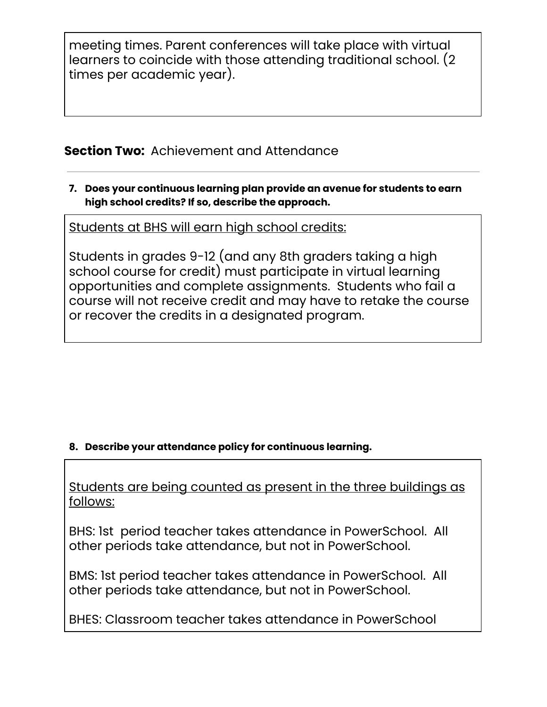meeting times. Parent conferences will take place with virtual learners to coincide with those attending traditional school. (2 times per academic year).

## **Section Two:** Achievement and Attendance

**7. Does your continuous learning plan provide an avenue for students to earn high school credits? If so, describe the approach.**

Students at BHS will earn high school credits:

Students in grades 9-12 (and any 8th graders taking a high school course for credit) must participate in virtual learning opportunities and complete assignments. Students who fail a course will not receive credit and may have to retake the course or recover the credits in a designated program.

### **8. Describe your attendance policy for continuous learning.**

Students are being counted as present in the three buildings as follows:

BHS: 1st period teacher takes attendance in PowerSchool. All other periods take attendance, but not in PowerSchool.

BMS: 1st period teacher takes attendance in PowerSchool. All other periods take attendance, but not in PowerSchool.

BHES: Classroom teacher takes attendance in PowerSchool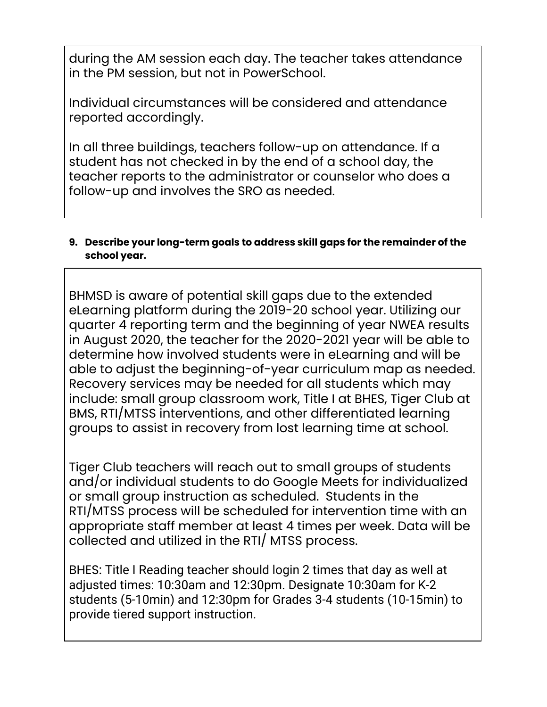during the AM session each day. The teacher takes attendance in the PM session, but not in PowerSchool.

Individual circumstances will be considered and attendance reported accordingly.

In all three buildings, teachers follow-up on attendance. If a student has not checked in by the end of a school day, the teacher reports to the administrator or counselor who does a follow-up and involves the SRO as needed.

#### **9. Describe your long-term goals to address skill gaps for the remainder of the school year.**

BHMSD is aware of potential skill gaps due to the extended eLearning platform during the 2019-20 school year. Utilizing our quarter 4 reporting term and the beginning of year NWEA results in August 2020, the teacher for the 2020-2021 year will be able to determine how involved students were in eLearning and will be able to adjust the beginning-of-year curriculum map as needed. Recovery services may be needed for all students which may include: small group classroom work, Title I at BHES, Tiger Club at BMS, RTI/MTSS interventions, and other differentiated learning groups to assist in recovery from lost learning time at school.

Tiger Club teachers will reach out to small groups of students and/or individual students to do Google Meets for individualized or small group instruction as scheduled. Students in the RTI/MTSS process will be scheduled for intervention time with an appropriate staff member at least 4 times per week. Data will be collected and utilized in the RTI/ MTSS process.

BHES: Title I Reading teacher should login 2 times that day as well at adjusted times: 10:30am and 12:30pm. Designate 10:30am for K-2 students (5-10min) and 12:30pm for Grades 3-4 students (10-15min) to provide tiered support instruction.